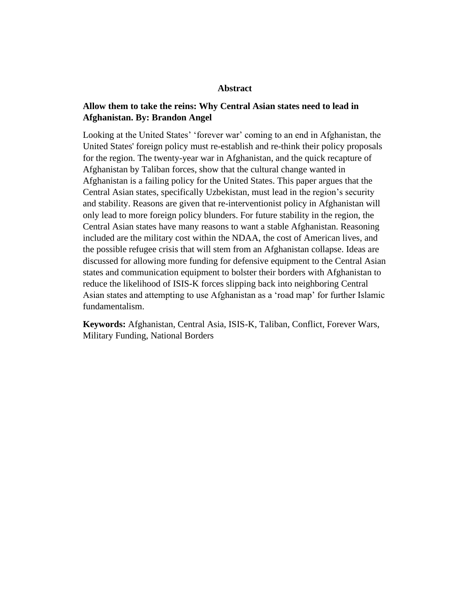### **Abstract**

# **Allow them to take the reins: Why Central Asian states need to lead in Afghanistan. By: Brandon Angel**

Looking at the United States' 'forever war' coming to an end in Afghanistan, the United States' foreign policy must re-establish and re-think their policy proposals for the region. The twenty-year war in Afghanistan, and the quick recapture of Afghanistan by Taliban forces, show that the cultural change wanted in Afghanistan is a failing policy for the United States. This paper argues that the Central Asian states, specifically Uzbekistan, must lead in the region's security and stability. Reasons are given that re-interventionist policy in Afghanistan will only lead to more foreign policy blunders. For future stability in the region, the Central Asian states have many reasons to want a stable Afghanistan. Reasoning included are the military cost within the NDAA, the cost of American lives, and the possible refugee crisis that will stem from an Afghanistan collapse. Ideas are discussed for allowing more funding for defensive equipment to the Central Asian states and communication equipment to bolster their borders with Afghanistan to reduce the likelihood of ISIS-K forces slipping back into neighboring Central Asian states and attempting to use Afghanistan as a 'road map' for further Islamic fundamentalism.

**Keywords:** Afghanistan, Central Asia, ISIS-K, Taliban, Conflict, Forever Wars, Military Funding, National Borders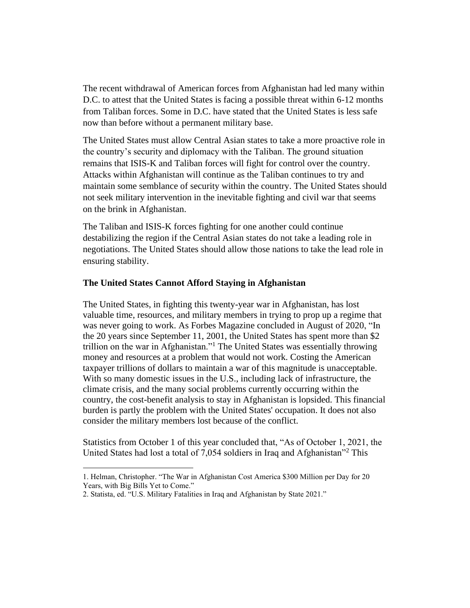The recent withdrawal of American forces from Afghanistan had led many within D.C. to attest that the United States is facing a possible threat within 6-12 months from Taliban forces. Some in D.C. have stated that the United States is less safe now than before without a permanent military base.

The United States must allow Central Asian states to take a more proactive role in the country's security and diplomacy with the Taliban. The ground situation remains that ISIS-K and Taliban forces will fight for control over the country. Attacks within Afghanistan will continue as the Taliban continues to try and maintain some semblance of security within the country. The United States should not seek military intervention in the inevitable fighting and civil war that seems on the brink in Afghanistan.

The Taliban and ISIS-K forces fighting for one another could continue destabilizing the region if the Central Asian states do not take a leading role in negotiations. The United States should allow those nations to take the lead role in ensuring stability.

## **The United States Cannot Afford Staying in Afghanistan**

The United States, in fighting this twenty-year war in Afghanistan, has lost valuable time, resources, and military members in trying to prop up a regime that was never going to work. As Forbes Magazine concluded in August of 2020, "In the 20 years since September 11, 2001, the United States has spent more than \$2 trillion on the war in Afghanistan."<sup>1</sup> The United States was essentially throwing money and resources at a problem that would not work. Costing the American taxpayer trillions of dollars to maintain a war of this magnitude is unacceptable. With so many domestic issues in the U.S., including lack of infrastructure, the climate crisis, and the many social problems currently occurring within the country, the cost-benefit analysis to stay in Afghanistan is lopsided. This financial burden is partly the problem with the United States' occupation. It does not also consider the military members lost because of the conflict.

Statistics from October 1 of this year concluded that, "As of October 1, 2021, the United States had lost a total of 7,054 soldiers in Iraq and Afghanistan<sup>32</sup> This

<sup>1.</sup> Helman, Christopher. "The War in Afghanistan Cost America \$300 Million per Day for 20 Years, with Big Bills Yet to Come."

<sup>2.</sup> Statista, ed. "U.S. Military Fatalities in Iraq and Afghanistan by State 2021."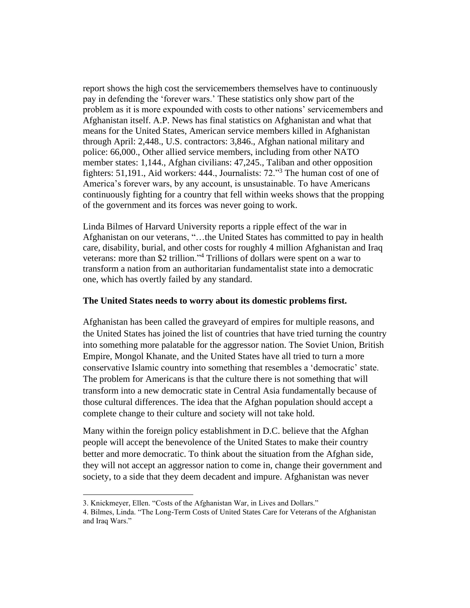report shows the high cost the servicemembers themselves have to continuously pay in defending the 'forever wars.' These statistics only show part of the problem as it is more expounded with costs to other nations' servicemembers and Afghanistan itself. A.P. News has final statistics on Afghanistan and what that means for the United States, American service members killed in Afghanistan through April: 2,448., U.S. contractors: 3,846., Afghan national military and police: 66,000., Other allied service members, including from other NATO member states: 1,144., Afghan civilians: 47,245., Taliban and other opposition fighters: 51,191., Aid workers: 444., Journalists: 72."<sup>3</sup> The human cost of one of America's forever wars, by any account, is unsustainable. To have Americans continuously fighting for a country that fell within weeks shows that the propping of the government and its forces was never going to work.

Linda Bilmes of Harvard University reports a ripple effect of the war in Afghanistan on our veterans, "…the United States has committed to pay in health care, disability, burial, and other costs for roughly 4 million Afghanistan and Iraq veterans: more than \$2 trillion."<sup>4</sup> Trillions of dollars were spent on a war to transform a nation from an authoritarian fundamentalist state into a democratic one, which has overtly failed by any standard.

## **The United States needs to worry about its domestic problems first.**

Afghanistan has been called the graveyard of empires for multiple reasons, and the United States has joined the list of countries that have tried turning the country into something more palatable for the aggressor nation. The Soviet Union, British Empire, Mongol Khanate, and the United States have all tried to turn a more conservative Islamic country into something that resembles a 'democratic' state. The problem for Americans is that the culture there is not something that will transform into a new democratic state in Central Asia fundamentally because of those cultural differences. The idea that the Afghan population should accept a complete change to their culture and society will not take hold.

Many within the foreign policy establishment in D.C. believe that the Afghan people will accept the benevolence of the United States to make their country better and more democratic. To think about the situation from the Afghan side, they will not accept an aggressor nation to come in, change their government and society, to a side that they deem decadent and impure. Afghanistan was never

<sup>3.</sup> Knickmeyer, Ellen. "Costs of the Afghanistan War, in Lives and Dollars."

<sup>4.</sup> Bilmes, Linda. "The Long-Term Costs of United States Care for Veterans of the Afghanistan and Iraq Wars."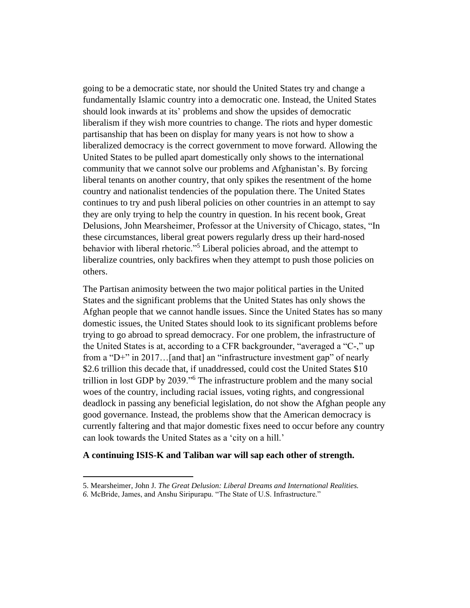going to be a democratic state, nor should the United States try and change a fundamentally Islamic country into a democratic one. Instead, the United States should look inwards at its' problems and show the upsides of democratic liberalism if they wish more countries to change. The riots and hyper domestic partisanship that has been on display for many years is not how to show a liberalized democracy is the correct government to move forward. Allowing the United States to be pulled apart domestically only shows to the international community that we cannot solve our problems and Afghanistan's. By forcing liberal tenants on another country, that only spikes the resentment of the home country and nationalist tendencies of the population there. The United States continues to try and push liberal policies on other countries in an attempt to say they are only trying to help the country in question. In his recent book, Great Delusions, John Mearsheimer, Professor at the University of Chicago, states, "In these circumstances, liberal great powers regularly dress up their hard-nosed behavior with liberal rhetoric."<sup>5</sup> Liberal policies abroad, and the attempt to liberalize countries, only backfires when they attempt to push those policies on others.

The Partisan animosity between the two major political parties in the United States and the significant problems that the United States has only shows the Afghan people that we cannot handle issues. Since the United States has so many domestic issues, the United States should look to its significant problems before trying to go abroad to spread democracy. For one problem, the infrastructure of the United States is at, according to a CFR backgrounder, "averaged a "C-," up from a "D+" in 2017…[and that] an "infrastructure investment gap" of nearly \$2.6 trillion this decade that, if unaddressed, could cost the United States \$10 trillion in lost GDP by 2039."<sup>6</sup> The infrastructure problem and the many social woes of the country, including racial issues, voting rights, and congressional deadlock in passing any beneficial legislation, do not show the Afghan people any good governance. Instead, the problems show that the American democracy is currently faltering and that major domestic fixes need to occur before any country can look towards the United States as a 'city on a hill.'

## **A continuing ISIS-K and Taliban war will sap each other of strength.**

<sup>5.</sup> Mearsheimer, John J. *The Great Delusion: Liberal Dreams and International Realities.*

*<sup>6.</sup>* McBride, James, and Anshu Siripurapu. "The State of U.S. Infrastructure."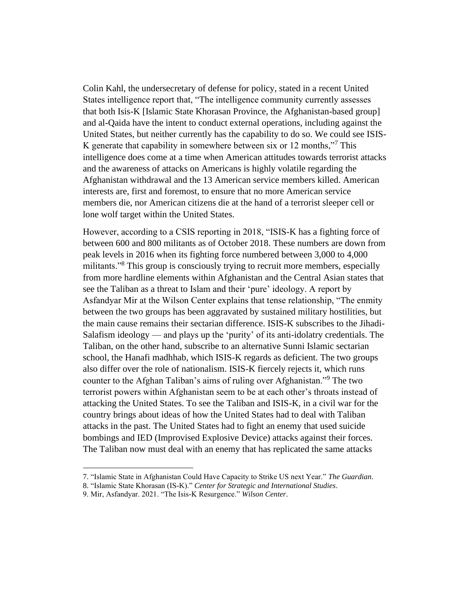Colin Kahl, the undersecretary of defense for policy, stated in a recent United States intelligence report that, "The intelligence community currently assesses that both Isis-K [Islamic State Khorasan Province, the Afghanistan-based group] and al-Qaida have the intent to conduct external operations, including against the United States, but neither currently has the capability to do so. We could see ISIS-K generate that capability in somewhere between six or 12 months,"<sup>7</sup> This intelligence does come at a time when American attitudes towards terrorist attacks and the awareness of attacks on Americans is highly volatile regarding the Afghanistan withdrawal and the 13 American service members killed. American interests are, first and foremost, to ensure that no more American service members die, nor American citizens die at the hand of a terrorist sleeper cell or lone wolf target within the United States.

However, according to a CSIS reporting in 2018, "ISIS-K has a fighting force of between 600 and 800 militants as of October 2018. These numbers are down from peak levels in 2016 when its fighting force numbered between 3,000 to 4,000 militants.<sup>38</sup> This group is consciously trying to recruit more members, especially from more hardline elements within Afghanistan and the Central Asian states that see the Taliban as a threat to Islam and their 'pure' ideology. A report by Asfandyar Mir at the Wilson Center explains that tense relationship, "The enmity between the two groups has been aggravated by sustained military hostilities, but the main cause remains their sectarian difference. ISIS-K subscribes to the Jihadi-Salafism ideology — and plays up the 'purity' of its anti-idolatry credentials. The Taliban, on the other hand, subscribe to an alternative Sunni Islamic sectarian school, the Hanafi madhhab, which ISIS-K regards as deficient. The two groups also differ over the role of nationalism. ISIS-K fiercely rejects it, which runs counter to the Afghan Taliban's aims of ruling over Afghanistan."<sup>9</sup> The two terrorist powers within Afghanistan seem to be at each other's throats instead of attacking the United States. To see the Taliban and ISIS-K, in a civil war for the country brings about ideas of how the United States had to deal with Taliban attacks in the past. The United States had to fight an enemy that used suicide bombings and IED (Improvised Explosive Device) attacks against their forces. The Taliban now must deal with an enemy that has replicated the same attacks

<sup>7.</sup> "Islamic State in Afghanistan Could Have Capacity to Strike US next Year." *The Guardian*.

<sup>8.</sup> "Islamic State Khorasan (IS-K)." *Center for Strategic and International Studies*.

<sup>9.</sup> Mir, Asfandyar. 2021. "The Isis-K Resurgence." *Wilson Center*.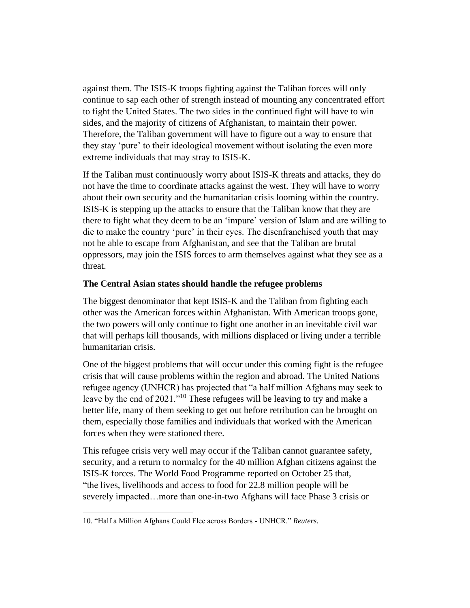against them. The ISIS-K troops fighting against the Taliban forces will only continue to sap each other of strength instead of mounting any concentrated effort to fight the United States. The two sides in the continued fight will have to win sides, and the majority of citizens of Afghanistan, to maintain their power. Therefore, the Taliban government will have to figure out a way to ensure that they stay 'pure' to their ideological movement without isolating the even more extreme individuals that may stray to ISIS-K.

If the Taliban must continuously worry about ISIS-K threats and attacks, they do not have the time to coordinate attacks against the west. They will have to worry about their own security and the humanitarian crisis looming within the country. ISIS-K is stepping up the attacks to ensure that the Taliban know that they are there to fight what they deem to be an 'impure' version of Islam and are willing to die to make the country 'pure' in their eyes. The disenfranchised youth that may not be able to escape from Afghanistan, and see that the Taliban are brutal oppressors, may join the ISIS forces to arm themselves against what they see as a threat.

# **The Central Asian states should handle the refugee problems**

The biggest denominator that kept ISIS-K and the Taliban from fighting each other was the American forces within Afghanistan. With American troops gone, the two powers will only continue to fight one another in an inevitable civil war that will perhaps kill thousands, with millions displaced or living under a terrible humanitarian crisis.

One of the biggest problems that will occur under this coming fight is the refugee crisis that will cause problems within the region and abroad. The United Nations refugee agency (UNHCR) has projected that "a half million Afghans may seek to leave by the end of 2021."<sup>10</sup> These refugees will be leaving to try and make a better life, many of them seeking to get out before retribution can be brought on them, especially those families and individuals that worked with the American forces when they were stationed there.

This refugee crisis very well may occur if the Taliban cannot guarantee safety, security, and a return to normalcy for the 40 million Afghan citizens against the ISIS-K forces. The World Food Programme reported on October 25 that, "the lives, livelihoods and access to food for 22.8 million people will be severely impacted…more than one-in-two Afghans will face Phase 3 crisis or

<sup>10. &</sup>quot;Half a Million Afghans Could Flee across Borders - UNHCR." *Reuters*.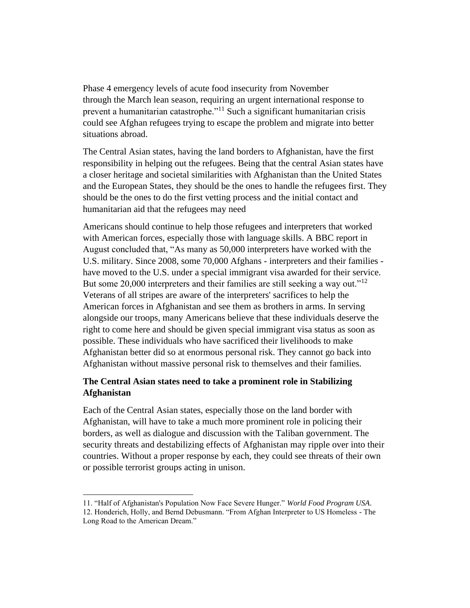Phase 4 emergency levels of acute food insecurity from November through the March lean season, requiring an urgent international response to prevent a humanitarian catastrophe."<sup>11</sup> Such a significant humanitarian crisis could see Afghan refugees trying to escape the problem and migrate into better situations abroad.

The Central Asian states, having the land borders to Afghanistan, have the first responsibility in helping out the refugees. Being that the central Asian states have a closer heritage and societal similarities with Afghanistan than the United States and the European States, they should be the ones to handle the refugees first. They should be the ones to do the first vetting process and the initial contact and humanitarian aid that the refugees may need

Americans should continue to help those refugees and interpreters that worked with American forces, especially those with language skills. A BBC report in August concluded that, "As many as 50,000 interpreters have worked with the U.S. military. Since 2008, some 70,000 Afghans - interpreters and their families have moved to the U.S. under a special immigrant visa awarded for their service. But some  $20,000$  interpreters and their families are still seeking a way out."<sup>12</sup> Veterans of all stripes are aware of the interpreters' sacrifices to help the American forces in Afghanistan and see them as brothers in arms. In serving alongside our troops, many Americans believe that these individuals deserve the right to come here and should be given special immigrant visa status as soon as possible. These individuals who have sacrificed their livelihoods to make Afghanistan better did so at enormous personal risk. They cannot go back into Afghanistan without massive personal risk to themselves and their families.

# **The Central Asian states need to take a prominent role in Stabilizing Afghanistan**

Each of the Central Asian states, especially those on the land border with Afghanistan, will have to take a much more prominent role in policing their borders, as well as dialogue and discussion with the Taliban government. The security threats and destabilizing effects of Afghanistan may ripple over into their countries. Without a proper response by each, they could see threats of their own or possible terrorist groups acting in unison.

<sup>11. &</sup>quot;Half of Afghanistan's Population Now Face Severe Hunger." *World Food Program USA*. 12. Honderich, Holly, and Bernd Debusmann. "From Afghan Interpreter to US Homeless - The Long Road to the American Dream."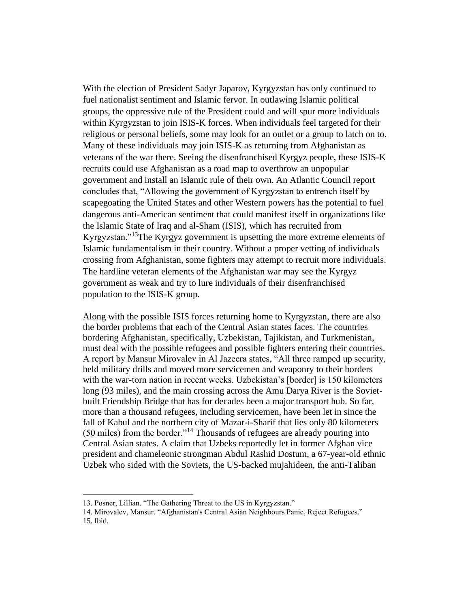With the election of President Sadyr Japarov, Kyrgyzstan has only continued to fuel nationalist sentiment and Islamic fervor. In outlawing Islamic political groups, the oppressive rule of the President could and will spur more individuals within Kyrgyzstan to join ISIS-K forces. When individuals feel targeted for their religious or personal beliefs, some may look for an outlet or a group to latch on to. Many of these individuals may join ISIS-K as returning from Afghanistan as veterans of the war there. Seeing the disenfranchised Kyrgyz people, these ISIS-K recruits could use Afghanistan as a road map to overthrow an unpopular government and install an Islamic rule of their own. An Atlantic Council report concludes that, "Allowing the government of Kyrgyzstan to entrench itself by scapegoating the United States and other Western powers has the potential to fuel dangerous anti-American sentiment that could manifest itself in organizations like the Islamic State of Iraq and al-Sham (ISIS), which has recruited from Kyrgyzstan."<sup>13</sup>The Kyrgyz government is upsetting the more extreme elements of Islamic fundamentalism in their country. Without a proper vetting of individuals crossing from Afghanistan, some fighters may attempt to recruit more individuals. The hardline veteran elements of the Afghanistan war may see the Kyrgyz government as weak and try to lure individuals of their disenfranchised population to the ISIS-K group.

Along with the possible ISIS forces returning home to Kyrgyzstan, there are also the border problems that each of the Central Asian states faces. The countries bordering Afghanistan, specifically, Uzbekistan, Tajikistan, and Turkmenistan, must deal with the possible refugees and possible fighters entering their countries. A report by Mansur Mirovalev in Al Jazeera states, "All three ramped up security, held military drills and moved more servicemen and weaponry to their borders with the war-torn nation in recent weeks. Uzbekistan's [border] is 150 kilometers long (93 miles), and the main crossing across the Amu Darya River is the Sovietbuilt Friendship Bridge that has for decades been a major transport hub. So far, more than a thousand refugees, including servicemen, have been let in since the fall of Kabul and the northern city of Mazar-i-Sharif that lies only 80 kilometers (50 miles) from the border."<sup>14</sup> Thousands of refugees are already pouring into Central Asian states. A claim that Uzbeks reportedly let in former Afghan vice president and chameleonic strongman Abdul Rashid Dostum, a 67-year-old ethnic Uzbek who sided with the Soviets, the US-backed mujahideen, the anti-Taliban

<sup>13.</sup> Posner, Lillian. "The Gathering Threat to the US in Kyrgyzstan."

<sup>14.</sup> Mirovalev, Mansur. "Afghanistan's Central Asian Neighbours Panic, Reject Refugees." 15. Ibid.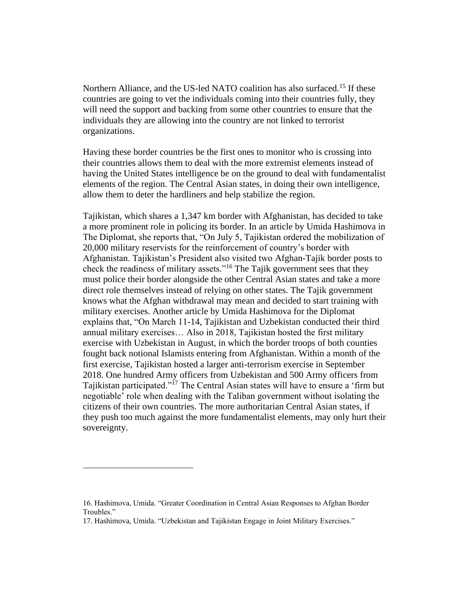Northern Alliance, and the US-led NATO coalition has also surfaced.<sup>15</sup> If these countries are going to vet the individuals coming into their countries fully, they will need the support and backing from some other countries to ensure that the individuals they are allowing into the country are not linked to terrorist organizations.

Having these border countries be the first ones to monitor who is crossing into their countries allows them to deal with the more extremist elements instead of having the United States intelligence be on the ground to deal with fundamentalist elements of the region. The Central Asian states, in doing their own intelligence, allow them to deter the hardliners and help stabilize the region.

Tajikistan, which shares a 1,347 km border with Afghanistan, has decided to take a more prominent role in policing its border. In an article by Umida Hashimova in The Diplomat, she reports that, "On July 5, Tajikistan ordered the mobilization of 20,000 military reservists for the reinforcement of country's border with Afghanistan. Tajikistan's President also visited two Afghan-Tajik border posts to check the readiness of military assets."<sup>16</sup> The Tajik government sees that they must police their border alongside the other Central Asian states and take a more direct role themselves instead of relying on other states. The Tajik government knows what the Afghan withdrawal may mean and decided to start training with military exercises. Another article by Umida Hashimova for the Diplomat explains that, "On March 11-14, Tajikistan and Uzbekistan conducted their third annual military exercises… Also in 2018, Tajikistan hosted the first military exercise with Uzbekistan in August, in which the border troops of both counties fought back notional Islamists entering from Afghanistan. Within a month of the first exercise, Tajikistan hosted a larger anti-terrorism exercise in September 2018. One hundred Army officers from Uzbekistan and 500 Army officers from Tajikistan participated."<sup>17</sup> The Central Asian states will have to ensure a 'firm but negotiable' role when dealing with the Taliban government without isolating the citizens of their own countries. The more authoritarian Central Asian states, if they push too much against the more fundamentalist elements, may only hurt their sovereignty.

<sup>16.</sup> Hashimova, Umida. "Greater Coordination in Central Asian Responses to Afghan Border Troubles."

<sup>17.</sup> Hashimova, Umida. "Uzbekistan and Tajikistan Engage in Joint Military Exercises."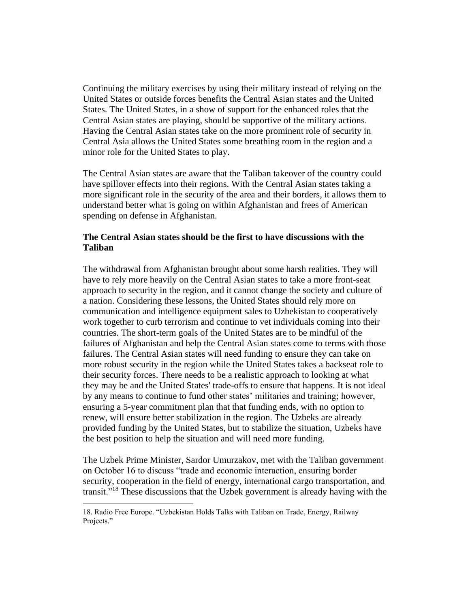Continuing the military exercises by using their military instead of relying on the United States or outside forces benefits the Central Asian states and the United States. The United States, in a show of support for the enhanced roles that the Central Asian states are playing, should be supportive of the military actions. Having the Central Asian states take on the more prominent role of security in Central Asia allows the United States some breathing room in the region and a minor role for the United States to play.

The Central Asian states are aware that the Taliban takeover of the country could have spillover effects into their regions. With the Central Asian states taking a more significant role in the security of the area and their borders, it allows them to understand better what is going on within Afghanistan and frees of American spending on defense in Afghanistan.

# **The Central Asian states should be the first to have discussions with the Taliban**

The withdrawal from Afghanistan brought about some harsh realities. They will have to rely more heavily on the Central Asian states to take a more front-seat approach to security in the region, and it cannot change the society and culture of a nation. Considering these lessons, the United States should rely more on communication and intelligence equipment sales to Uzbekistan to cooperatively work together to curb terrorism and continue to vet individuals coming into their countries. The short-term goals of the United States are to be mindful of the failures of Afghanistan and help the Central Asian states come to terms with those failures. The Central Asian states will need funding to ensure they can take on more robust security in the region while the United States takes a backseat role to their security forces. There needs to be a realistic approach to looking at what they may be and the United States' trade-offs to ensure that happens. It is not ideal by any means to continue to fund other states' militaries and training; however, ensuring a 5-year commitment plan that that funding ends, with no option to renew, will ensure better stabilization in the region. The Uzbeks are already provided funding by the United States, but to stabilize the situation, Uzbeks have the best position to help the situation and will need more funding.

The Uzbek Prime Minister, Sardor Umurzakov, met with the Taliban government on October 16 to discuss "trade and economic interaction, ensuring border security, cooperation in the field of energy, international cargo transportation, and transit."<sup>18</sup> These discussions that the Uzbek government is already having with the

<sup>18.</sup> Radio Free Europe. "Uzbekistan Holds Talks with Taliban on Trade, Energy, Railway Projects."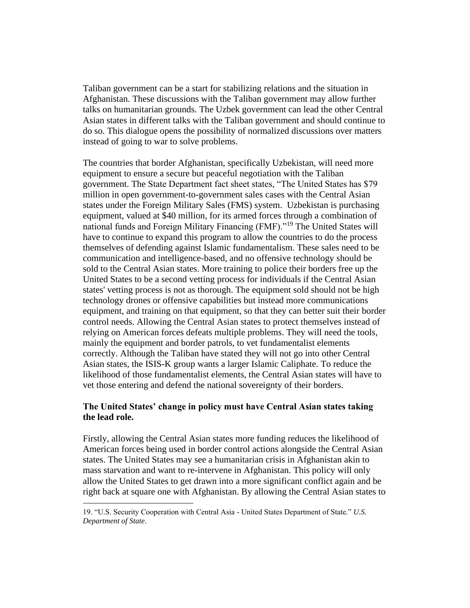Taliban government can be a start for stabilizing relations and the situation in Afghanistan. These discussions with the Taliban government may allow further talks on humanitarian grounds. The Uzbek government can lead the other Central Asian states in different talks with the Taliban government and should continue to do so. This dialogue opens the possibility of normalized discussions over matters instead of going to war to solve problems.

The countries that border Afghanistan, specifically Uzbekistan, will need more equipment to ensure a secure but peaceful negotiation with the Taliban government. The State Department fact sheet states, "The United States has \$79 million in open government-to-government sales cases with the Central Asian states under the Foreign Military Sales (FMS) system. Uzbekistan is purchasing equipment, valued at \$40 million, for its armed forces through a combination of national funds and Foreign Military Financing (FMF)."<sup>19</sup> The United States will have to continue to expand this program to allow the countries to do the process themselves of defending against Islamic fundamentalism. These sales need to be communication and intelligence-based, and no offensive technology should be sold to the Central Asian states. More training to police their borders free up the United States to be a second vetting process for individuals if the Central Asian states' vetting process is not as thorough. The equipment sold should not be high technology drones or offensive capabilities but instead more communications equipment, and training on that equipment, so that they can better suit their border control needs. Allowing the Central Asian states to protect themselves instead of relying on American forces defeats multiple problems. They will need the tools, mainly the equipment and border patrols, to vet fundamentalist elements correctly. Although the Taliban have stated they will not go into other Central Asian states, the ISIS-K group wants a larger Islamic Caliphate. To reduce the likelihood of those fundamentalist elements, the Central Asian states will have to vet those entering and defend the national sovereignty of their borders.

# **The United States' change in policy must have Central Asian states taking the lead role.**

Firstly, allowing the Central Asian states more funding reduces the likelihood of American forces being used in border control actions alongside the Central Asian states. The United States may see a humanitarian crisis in Afghanistan akin to mass starvation and want to re-intervene in Afghanistan. This policy will only allow the United States to get drawn into a more significant conflict again and be right back at square one with Afghanistan. By allowing the Central Asian states to

<sup>19. &</sup>quot;U.S. Security Cooperation with Central Asia - United States Department of State." *U.S. Department of State*.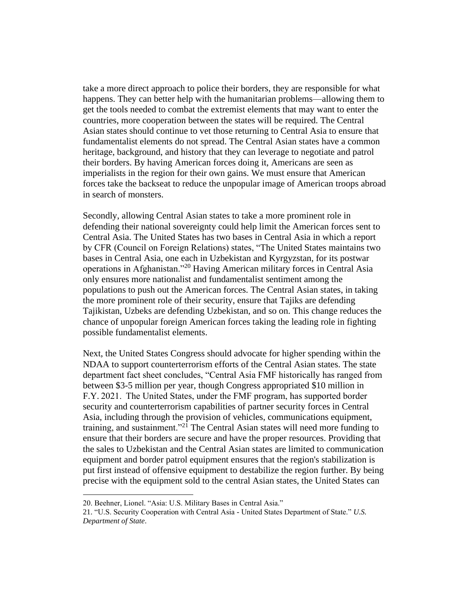take a more direct approach to police their borders, they are responsible for what happens. They can better help with the humanitarian problems—allowing them to get the tools needed to combat the extremist elements that may want to enter the countries, more cooperation between the states will be required. The Central Asian states should continue to vet those returning to Central Asia to ensure that fundamentalist elements do not spread. The Central Asian states have a common heritage, background, and history that they can leverage to negotiate and patrol their borders. By having American forces doing it, Americans are seen as imperialists in the region for their own gains. We must ensure that American forces take the backseat to reduce the unpopular image of American troops abroad in search of monsters.

Secondly, allowing Central Asian states to take a more prominent role in defending their national sovereignty could help limit the American forces sent to Central Asia. The United States has two bases in Central Asia in which a report by CFR (Council on Foreign Relations) states, "The United States maintains two bases in Central Asia, one each in Uzbekistan and Kyrgyzstan, for its postwar operations in Afghanistan."<sup>20</sup> Having American military forces in Central Asia only ensures more nationalist and fundamentalist sentiment among the populations to push out the American forces. The Central Asian states, in taking the more prominent role of their security, ensure that Tajiks are defending Tajikistan, Uzbeks are defending Uzbekistan, and so on. This change reduces the chance of unpopular foreign American forces taking the leading role in fighting possible fundamentalist elements.

Next, the United States Congress should advocate for higher spending within the NDAA to support counterterrorism efforts of the Central Asian states. The state department fact sheet concludes, "Central Asia FMF historically has ranged from between \$3-5 million per year, though Congress appropriated \$10 million in F.Y. 2021.  The United States, under the FMF program, has supported border security and counterterrorism capabilities of partner security forces in Central Asia, including through the provision of vehicles, communications equipment, training, and sustainment."<sup>21</sup> The Central Asian states will need more funding to ensure that their borders are secure and have the proper resources. Providing that the sales to Uzbekistan and the Central Asian states are limited to communication equipment and border patrol equipment ensures that the region's stabilization is put first instead of offensive equipment to destabilize the region further. By being precise with the equipment sold to the central Asian states, the United States can

<sup>20.</sup> Beehner, Lionel. "Asia: U.S. Military Bases in Central Asia."

<sup>21.</sup> "U.S. Security Cooperation with Central Asia - United States Department of State." *U.S. Department of State*.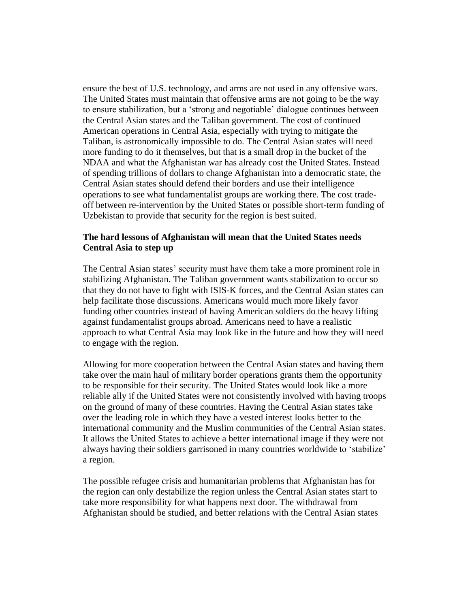ensure the best of U.S. technology, and arms are not used in any offensive wars. The United States must maintain that offensive arms are not going to be the way to ensure stabilization, but a 'strong and negotiable' dialogue continues between the Central Asian states and the Taliban government. The cost of continued American operations in Central Asia, especially with trying to mitigate the Taliban, is astronomically impossible to do. The Central Asian states will need more funding to do it themselves, but that is a small drop in the bucket of the NDAA and what the Afghanistan war has already cost the United States. Instead of spending trillions of dollars to change Afghanistan into a democratic state, the Central Asian states should defend their borders and use their intelligence operations to see what fundamentalist groups are working there. The cost tradeoff between re-intervention by the United States or possible short-term funding of Uzbekistan to provide that security for the region is best suited.

## **The hard lessons of Afghanistan will mean that the United States needs Central Asia to step up**

The Central Asian states' security must have them take a more prominent role in stabilizing Afghanistan. The Taliban government wants stabilization to occur so that they do not have to fight with ISIS-K forces, and the Central Asian states can help facilitate those discussions. Americans would much more likely favor funding other countries instead of having American soldiers do the heavy lifting against fundamentalist groups abroad. Americans need to have a realistic approach to what Central Asia may look like in the future and how they will need to engage with the region.

Allowing for more cooperation between the Central Asian states and having them take over the main haul of military border operations grants them the opportunity to be responsible for their security. The United States would look like a more reliable ally if the United States were not consistently involved with having troops on the ground of many of these countries. Having the Central Asian states take over the leading role in which they have a vested interest looks better to the international community and the Muslim communities of the Central Asian states. It allows the United States to achieve a better international image if they were not always having their soldiers garrisoned in many countries worldwide to 'stabilize' a region.

The possible refugee crisis and humanitarian problems that Afghanistan has for the region can only destabilize the region unless the Central Asian states start to take more responsibility for what happens next door. The withdrawal from Afghanistan should be studied, and better relations with the Central Asian states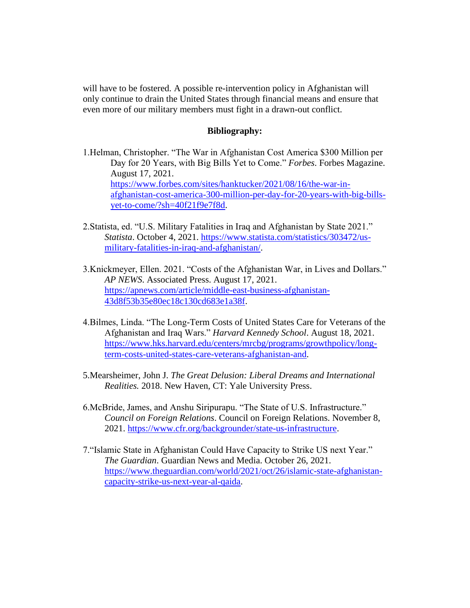will have to be fostered. A possible re-intervention policy in Afghanistan will only continue to drain the United States through financial means and ensure that even more of our military members must fight in a drawn-out conflict.

### **Bibliography:**

1.Helman, Christopher. "The War in Afghanistan Cost America \$300 Million per Day for 20 Years, with Big Bills Yet to Come." *Forbes*. Forbes Magazine. August 17, 2021. [https://www.forbes.com/sites/hanktucker/2021/08/16/the-war-in](https://www.forbes.com/sites/hanktucker/2021/08/16/the-war-in-afghanistan-cost-america-300-million-per-day-for-20-years-with-big-bills-yet-to-come/?sh=40f21f9e7f8d)[afghanistan-cost-america-300-million-per-day-for-20-years-with-big-bills](https://www.forbes.com/sites/hanktucker/2021/08/16/the-war-in-afghanistan-cost-america-300-million-per-day-for-20-years-with-big-bills-yet-to-come/?sh=40f21f9e7f8d)[yet-to-come/?sh=40f21f9e7f8d.](https://www.forbes.com/sites/hanktucker/2021/08/16/the-war-in-afghanistan-cost-america-300-million-per-day-for-20-years-with-big-bills-yet-to-come/?sh=40f21f9e7f8d)

- 2.Statista, ed. "U.S. Military Fatalities in Iraq and Afghanistan by State 2021." *Statista*. October 4, 2021. [https://www.statista.com/statistics/303472/us](https://www.statista.com/statistics/303472/us-military-fatalities-in-iraq-and-afghanistan/)[military-fatalities-in-iraq-and-afghanistan/.](https://www.statista.com/statistics/303472/us-military-fatalities-in-iraq-and-afghanistan/)
- 3.Knickmeyer, Ellen. 2021. "Costs of the Afghanistan War, in Lives and Dollars." *AP NEWS*. Associated Press. August 17, 2021. [https://apnews.com/article/middle-east-business-afghanistan-](https://apnews.com/article/middle-east-business-afghanistan-43d8f53b35e80ec18c130cd683e1a38f)[43d8f53b35e80ec18c130cd683e1a38f.](https://apnews.com/article/middle-east-business-afghanistan-43d8f53b35e80ec18c130cd683e1a38f)
- 4.Bilmes, Linda. "The Long-Term Costs of United States Care for Veterans of the Afghanistan and Iraq Wars." *Harvard Kennedy School*. August 18, 2021. [https://www.hks.harvard.edu/centers/mrcbg/programs/growthpolicy/long](https://www.hks.harvard.edu/centers/mrcbg/programs/growthpolicy/long-term-costs-united-states-care-veterans-afghanistan-and)[term-costs-united-states-care-veterans-afghanistan-and.](https://www.hks.harvard.edu/centers/mrcbg/programs/growthpolicy/long-term-costs-united-states-care-veterans-afghanistan-and)
- 5.Mearsheimer, John J. *The Great Delusion: Liberal Dreams and International Realities.* 2018. New Haven, CT: Yale University Press.
- 6.McBride, James, and Anshu Siripurapu. "The State of U.S. Infrastructure." *Council on Foreign Relations*. Council on Foreign Relations. November 8, 2021. [https://www.cfr.org/backgrounder/state-us-infrastructure.](https://www.cfr.org/backgrounder/state-us-infrastructure)
- 7."Islamic State in Afghanistan Could Have Capacity to Strike US next Year." *The Guardian*. Guardian News and Media. October 26, 2021. [https://www.theguardian.com/world/2021/oct/26/islamic-state-afghanistan](https://www.theguardian.com/world/2021/oct/26/islamic-state-afghanistan-capacity-strike-us-next-year-al-qaida)[capacity-strike-us-next-year-al-qaida.](https://www.theguardian.com/world/2021/oct/26/islamic-state-afghanistan-capacity-strike-us-next-year-al-qaida)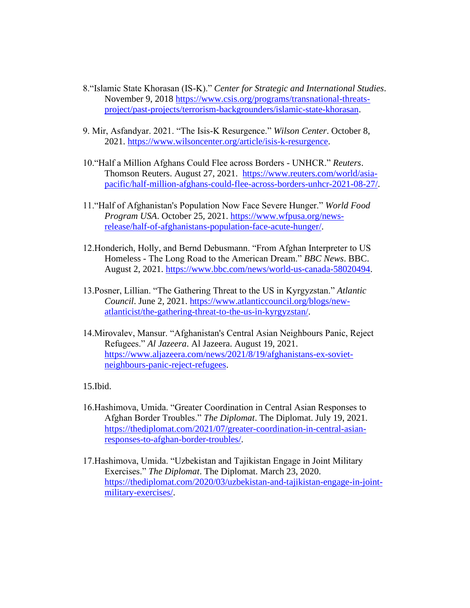- 8."Islamic State Khorasan (IS-K)." *Center for Strategic and International Studies*. November 9, 2018 [https://www.csis.org/programs/transnational-threats](https://www.csis.org/programs/transnational-threats-project/past-projects/terrorism-backgrounders/islamic-state-khorasan)[project/past-projects/terrorism-backgrounders/islamic-state-khorasan.](https://www.csis.org/programs/transnational-threats-project/past-projects/terrorism-backgrounders/islamic-state-khorasan)
- 9. Mir, Asfandyar. 2021. "The Isis-K Resurgence." *Wilson Center*. October 8, 2021. [https://www.wilsoncenter.org/article/isis-k-resurgence.](https://www.wilsoncenter.org/article/isis-k-resurgence)
- 10."Half a Million Afghans Could Flee across Borders UNHCR." *Reuters*. Thomson Reuters. August 27, 2021. [https://www.reuters.com/world/asia](https://www.reuters.com/world/asia-pacific/half-million-afghans-could-flee-across-borders-unhcr-2021-08-27/)[pacific/half-million-afghans-could-flee-across-borders-unhcr-2021-08-27/.](https://www.reuters.com/world/asia-pacific/half-million-afghans-could-flee-across-borders-unhcr-2021-08-27/)
- 11."Half of Afghanistan's Population Now Face Severe Hunger." *World Food Program USA*. October 25, 2021. [https://www.wfpusa.org/news](https://www.wfpusa.org/news-release/half-of-afghanistans-population-face-acute-hunger/)[release/half-of-afghanistans-population-face-acute-hunger/.](https://www.wfpusa.org/news-release/half-of-afghanistans-population-face-acute-hunger/)
- 12.Honderich, Holly, and Bernd Debusmann. "From Afghan Interpreter to US Homeless - The Long Road to the American Dream." *BBC News*. BBC. August 2, 2021. [https://www.bbc.com/news/world-us-canada-58020494.](https://www.bbc.com/news/world-us-canada-58020494)
- 13.Posner, Lillian. "The Gathering Threat to the US in Kyrgyzstan." *Atlantic Council*. June 2, 2021. [https://www.atlanticcouncil.org/blogs/new](https://www.atlanticcouncil.org/blogs/new-atlanticist/the-gathering-threat-to-the-us-in-kyrgyzstan/)[atlanticist/the-gathering-threat-to-the-us-in-kyrgyzstan/.](https://www.atlanticcouncil.org/blogs/new-atlanticist/the-gathering-threat-to-the-us-in-kyrgyzstan/)
- 14.Mirovalev, Mansur. "Afghanistan's Central Asian Neighbours Panic, Reject Refugees." *Al Jazeera*. Al Jazeera. August 19, 2021. [https://www.aljazeera.com/news/2021/8/19/afghanistans-ex-soviet](https://www.aljazeera.com/news/2021/8/19/afghanistans-ex-soviet-neighbours-panic-reject-refugees)[neighbours-panic-reject-refugees.](https://www.aljazeera.com/news/2021/8/19/afghanistans-ex-soviet-neighbours-panic-reject-refugees)

15.Ibid.

- 16.Hashimova, Umida. "Greater Coordination in Central Asian Responses to Afghan Border Troubles." *The Diplomat*. The Diplomat. July 19, 2021. [https://thediplomat.com/2021/07/greater-coordination-in-central-asian](https://thediplomat.com/2021/07/greater-coordination-in-central-asian-responses-to-afghan-border-troubles/)[responses-to-afghan-border-troubles/.](https://thediplomat.com/2021/07/greater-coordination-in-central-asian-responses-to-afghan-border-troubles/)
- 17.Hashimova, Umida. "Uzbekistan and Tajikistan Engage in Joint Military Exercises." *The Diplomat*. The Diplomat. March 23, 2020. [https://thediplomat.com/2020/03/uzbekistan-and-tajikistan-engage-in-joint](https://thediplomat.com/2020/03/uzbekistan-and-tajikistan-engage-in-joint-military-exercises/)[military-exercises/.](https://thediplomat.com/2020/03/uzbekistan-and-tajikistan-engage-in-joint-military-exercises/)